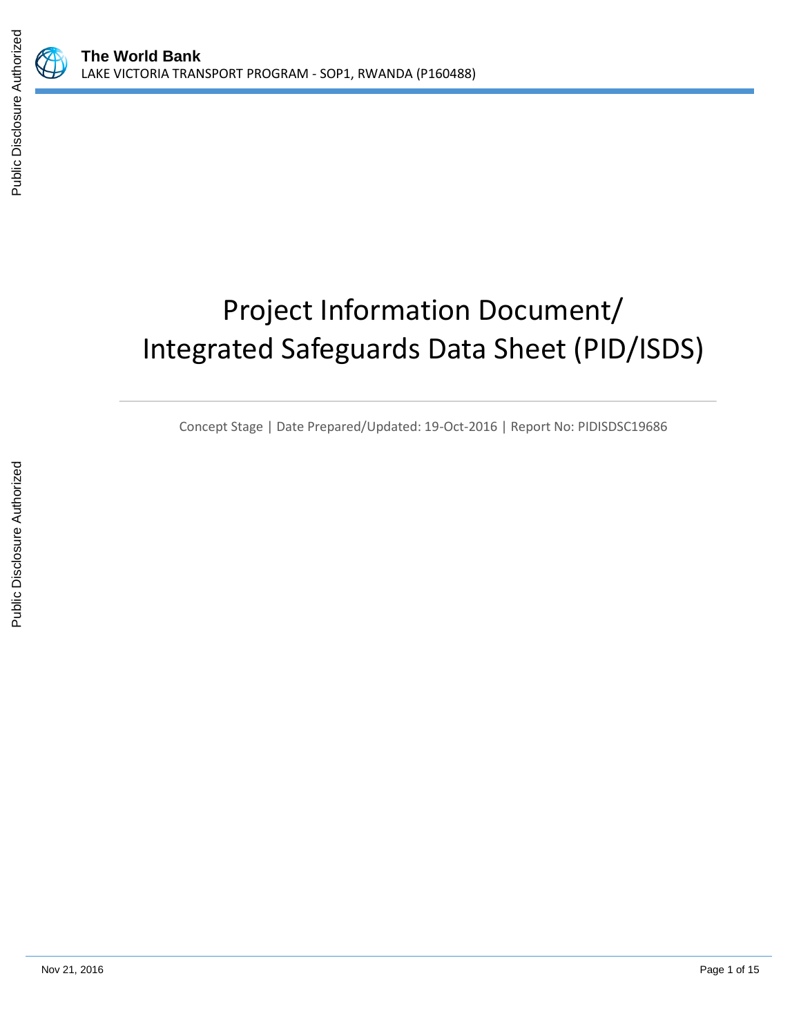# Project Information Document/ Integrated Safeguards Data Sheet (PID/ISDS)

Concept Stage | Date Prepared/Updated: 19-Oct-2016 | Report No: PIDISDSC19686

E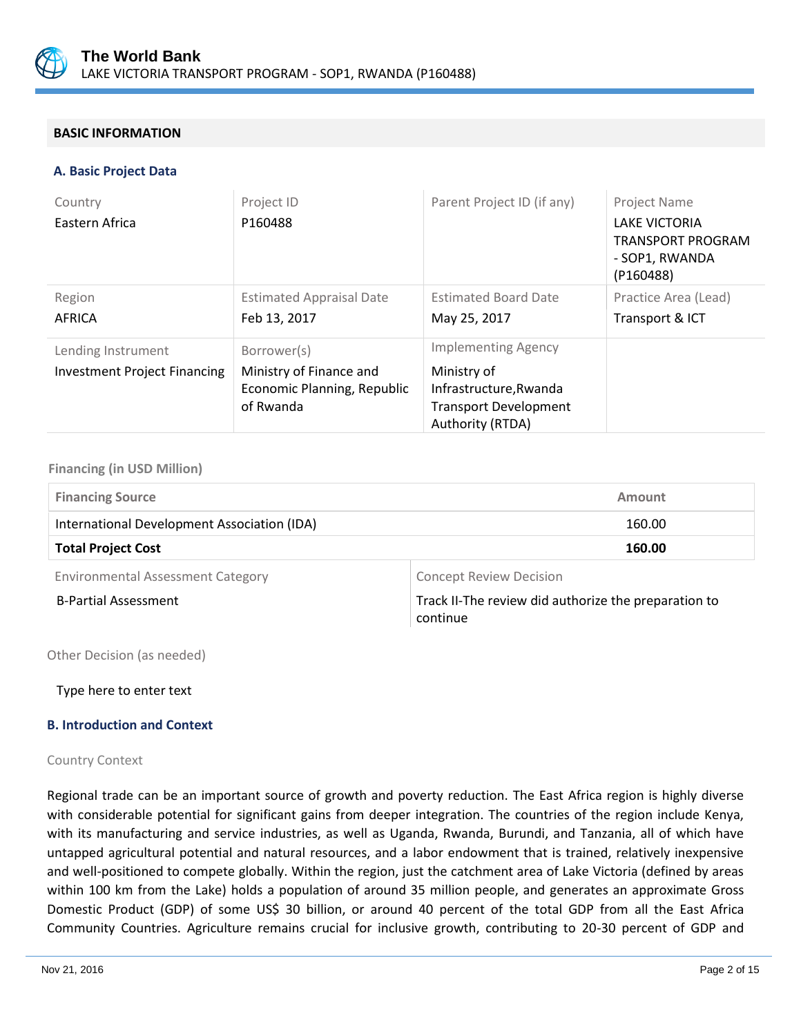

## **BASIC INFORMATION**

#### **A. Basic Project Data**

| Country                             | Project ID                               | Parent Project ID (if any)                             | Project Name                                                             |
|-------------------------------------|------------------------------------------|--------------------------------------------------------|--------------------------------------------------------------------------|
| Eastern Africa                      | P160488                                  |                                                        | <b>LAKE VICTORIA</b><br>TRANSPORT PROGRAM<br>- SOP1, RWANDA<br>(P160488) |
| Region                              | <b>Estimated Appraisal Date</b>          | <b>Estimated Board Date</b>                            | Practice Area (Lead)                                                     |
| AFRICA                              | Feb 13, 2017                             | May 25, 2017                                           | Transport & ICT                                                          |
| Lending Instrument                  | Borrower(s)                              | <b>Implementing Agency</b>                             |                                                                          |
| <b>Investment Project Financing</b> | Ministry of Finance and                  | Ministry of                                            |                                                                          |
|                                     | Economic Planning, Republic<br>of Rwanda | Infrastructure, Rwanda<br><b>Transport Development</b> |                                                                          |
|                                     |                                          | Authority (RTDA)                                       |                                                                          |

#### **Financing (in USD Million)**

| <b>Financing Source</b>                     | Amount                         |
|---------------------------------------------|--------------------------------|
| International Development Association (IDA) | 160.00                         |
| <b>Total Project Cost</b>                   | 160.00                         |
| <b>Environmental Assessment Category</b>    | <b>Concept Review Decision</b> |

B-Partial Assessment Track II-The review did authorize the preparation to continue

Other Decision (as needed)

Type here to enter text

## **B. Introduction and Context**

#### Country Context

Regional trade can be an important source of growth and poverty reduction. The East Africa region is highly diverse with considerable potential for significant gains from deeper integration. The countries of the region include Kenya, with its manufacturing and service industries, as well as Uganda, Rwanda, Burundi, and Tanzania, all of which have untapped agricultural potential and natural resources, and a labor endowment that is trained, relatively inexpensive and well-positioned to compete globally. Within the region, just the catchment area of Lake Victoria (defined by areas within 100 km from the Lake) holds a population of around 35 million people, and generates an approximate Gross Domestic Product (GDP) of some US\$ 30 billion, or around 40 percent of the total GDP from all the East Africa Community Countries. Agriculture remains crucial for inclusive growth, contributing to 20-30 percent of GDP and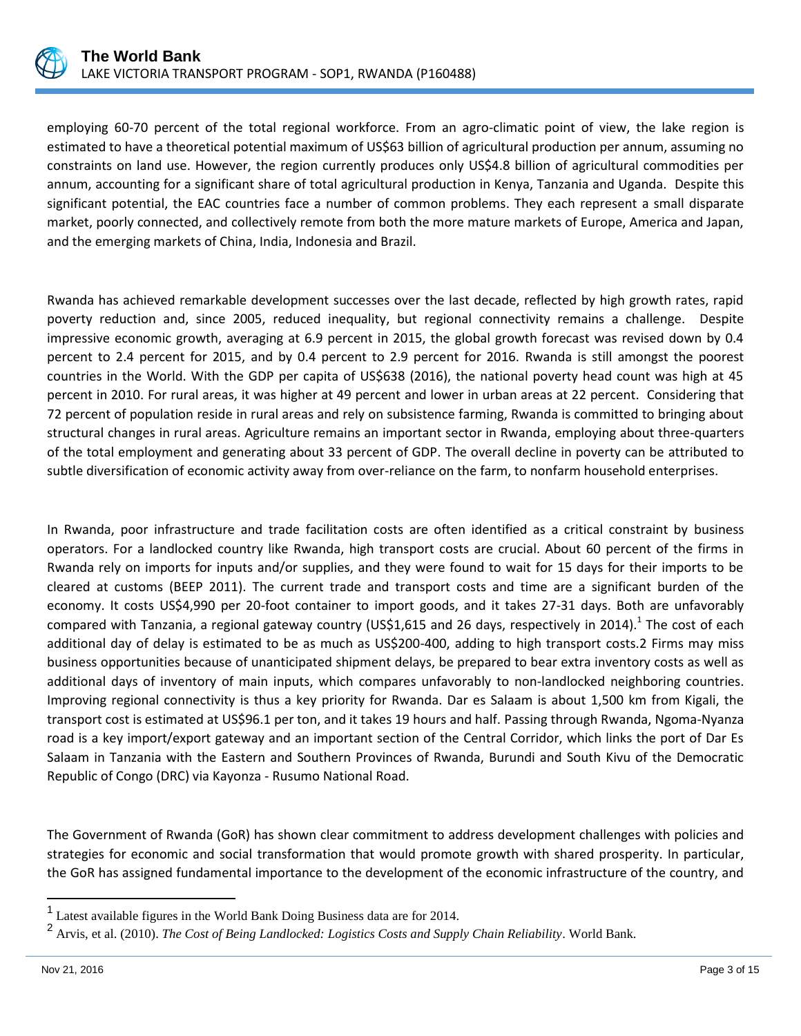

employing 60-70 percent of the total regional workforce. From an agro-climatic point of view, the lake region is estimated to have a theoretical potential maximum of US\$63 billion of agricultural production per annum, assuming no constraints on land use. However, the region currently produces only US\$4.8 billion of agricultural commodities per annum, accounting for a significant share of total agricultural production in Kenya, Tanzania and Uganda. Despite this significant potential, the EAC countries face a number of common problems. They each represent a small disparate market, poorly connected, and collectively remote from both the more mature markets of Europe, America and Japan, and the emerging markets of China, India, Indonesia and Brazil.

Rwanda has achieved remarkable development successes over the last decade, reflected by high growth rates, rapid poverty reduction and, since 2005, reduced inequality, but regional connectivity remains a challenge. Despite impressive economic growth, averaging at 6.9 percent in 2015, the global growth forecast was revised down by 0.4 percent to 2.4 percent for 2015, and by 0.4 percent to 2.9 percent for 2016. Rwanda is still amongst the poorest countries in the World. With the GDP per capita of US\$638 (2016), the national poverty head count was high at 45 percent in 2010. For rural areas, it was higher at 49 percent and lower in urban areas at 22 percent. Considering that 72 percent of population reside in rural areas and rely on subsistence farming, Rwanda is committed to bringing about structural changes in rural areas. Agriculture remains an important sector in Rwanda, employing about three-quarters of the total employment and generating about 33 percent of GDP. The overall decline in poverty can be attributed to subtle diversification of economic activity away from over-reliance on the farm, to nonfarm household enterprises.

In Rwanda, poor infrastructure and trade facilitation costs are often identified as a critical constraint by business operators. For a landlocked country like Rwanda, high transport costs are crucial. About 60 percent of the firms in Rwanda rely on imports for inputs and/or supplies, and they were found to wait for 15 days for their imports to be cleared at customs (BEEP 2011). The current trade and transport costs and time are a significant burden of the economy. It costs US\$4,990 per 20-foot container to import goods, and it takes 27-31 days. Both are unfavorably compared with Tanzania, a regional gateway country (US\$1,615 and 26 days, respectively in 2014).<sup>1</sup> The cost of each additional day of delay is estimated to be as much as US\$200-400, adding to high transport costs.2 Firms may miss business opportunities because of unanticipated shipment delays, be prepared to bear extra inventory costs as well as additional days of inventory of main inputs, which compares unfavorably to non-landlocked neighboring countries. Improving regional connectivity is thus a key priority for Rwanda. Dar es Salaam is about 1,500 km from Kigali, the transport cost is estimated at US\$96.1 per ton, and it takes 19 hours and half. Passing through Rwanda, Ngoma-Nyanza road is a key import/export gateway and an important section of the Central Corridor, which links the port of Dar Es Salaam in Tanzania with the Eastern and Southern Provinces of Rwanda, Burundi and South Kivu of the Democratic Republic of Congo (DRC) via Kayonza ‐ Rusumo National Road.

The Government of Rwanda (GoR) has shown clear commitment to address development challenges with policies and strategies for economic and social transformation that would promote growth with shared prosperity. In particular, the GoR has assigned fundamental importance to the development of the economic infrastructure of the country, and

 $\overline{a}$ 

<sup>&</sup>lt;sup>1</sup> Latest available figures in the World Bank Doing Business data are for 2014.

<sup>2</sup> Arvis, et al. (2010). *The Cost of Being Landlocked: Logistics Costs and Supply Chain Reliability*. World Bank.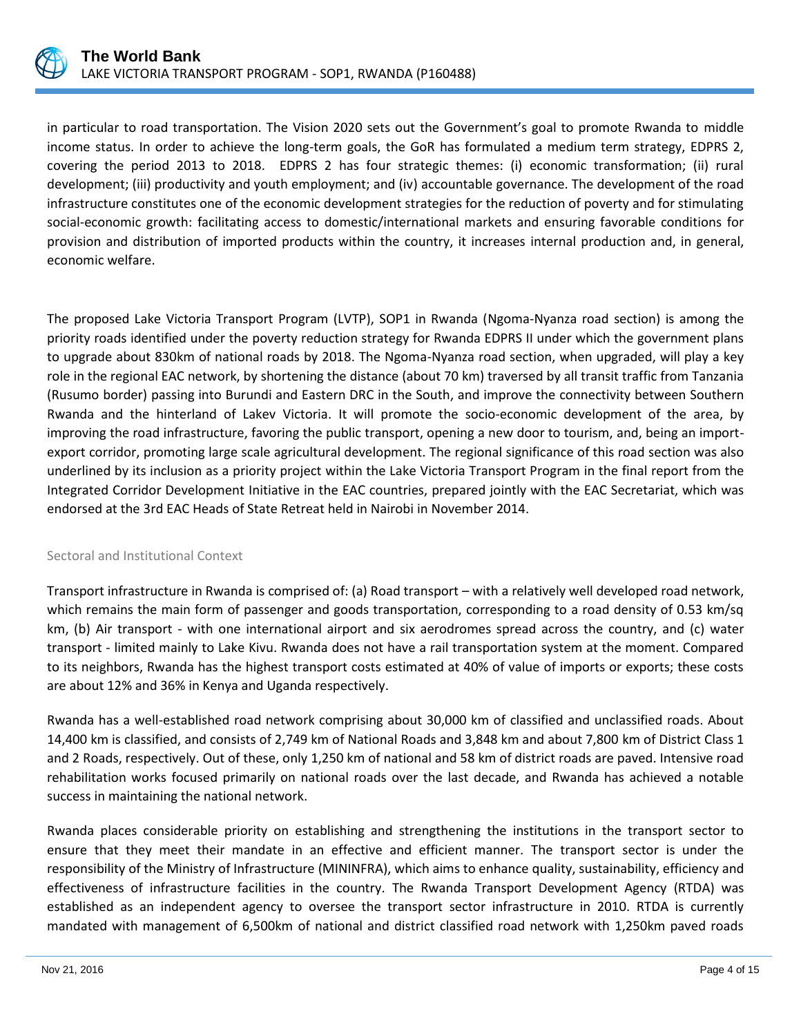

in particular to road transportation. The Vision 2020 sets out the Government's goal to promote Rwanda to middle income status. In order to achieve the long-term goals, the GoR has formulated a medium term strategy, EDPRS 2, covering the period 2013 to 2018. EDPRS 2 has four strategic themes: (i) economic transformation; (ii) rural development; (iii) productivity and youth employment; and (iv) accountable governance. The development of the road infrastructure constitutes one of the economic development strategies for the reduction of poverty and for stimulating social-economic growth: facilitating access to domestic/international markets and ensuring favorable conditions for provision and distribution of imported products within the country, it increases internal production and, in general, economic welfare.

The proposed Lake Victoria Transport Program (LVTP), SOP1 in Rwanda (Ngoma-Nyanza road section) is among the priority roads identified under the poverty reduction strategy for Rwanda EDPRS II under which the government plans to upgrade about 830km of national roads by 2018. The Ngoma-Nyanza road section, when upgraded, will play a key role in the regional EAC network, by shortening the distance (about 70 km) traversed by all transit traffic from Tanzania (Rusumo border) passing into Burundi and Eastern DRC in the South, and improve the connectivity between Southern Rwanda and the hinterland of Lakev Victoria. It will promote the socio-economic development of the area, by improving the road infrastructure, favoring the public transport, opening a new door to tourism, and, being an importexport corridor, promoting large scale agricultural development. The regional significance of this road section was also underlined by its inclusion as a priority project within the Lake Victoria Transport Program in the final report from the Integrated Corridor Development Initiative in the EAC countries, prepared jointly with the EAC Secretariat, which was endorsed at the 3rd EAC Heads of State Retreat held in Nairobi in November 2014.

## Sectoral and Institutional Context

Transport infrastructure in Rwanda is comprised of: (a) Road transport – with a relatively well developed road network, which remains the main form of passenger and goods transportation, corresponding to a road density of 0.53 km/sq km, (b) Air transport - with one international airport and six aerodromes spread across the country, and (c) water transport - limited mainly to Lake Kivu. Rwanda does not have a rail transportation system at the moment. Compared to its neighbors, Rwanda has the highest transport costs estimated at 40% of value of imports or exports; these costs are about 12% and 36% in Kenya and Uganda respectively.

Rwanda has a well-established road network comprising about 30,000 km of classified and unclassified roads. About 14,400 km is classified, and consists of 2,749 km of National Roads and 3,848 km and about 7,800 km of District Class 1 and 2 Roads, respectively. Out of these, only 1,250 km of national and 58 km of district roads are paved. Intensive road rehabilitation works focused primarily on national roads over the last decade, and Rwanda has achieved a notable success in maintaining the national network.

Rwanda places considerable priority on establishing and strengthening the institutions in the transport sector to ensure that they meet their mandate in an effective and efficient manner. The transport sector is under the responsibility of the Ministry of Infrastructure (MININFRA), which aims to enhance quality, sustainability, efficiency and effectiveness of infrastructure facilities in the country. The Rwanda Transport Development Agency (RTDA) was established as an independent agency to oversee the transport sector infrastructure in 2010. RTDA is currently mandated with management of 6,500km of national and district classified road network with 1,250km paved roads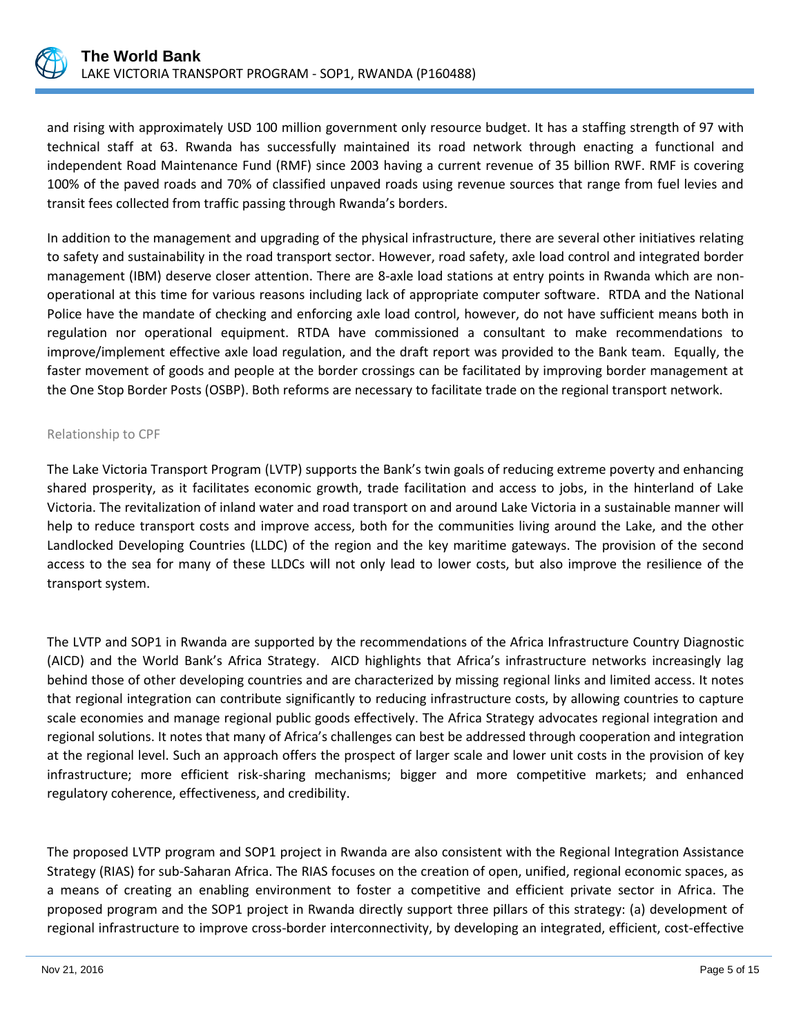

and rising with approximately USD 100 million government only resource budget. It has a staffing strength of 97 with technical staff at 63. Rwanda has successfully maintained its road network through enacting a functional and independent Road Maintenance Fund (RMF) since 2003 having a current revenue of 35 billion RWF. RMF is covering 100% of the paved roads and 70% of classified unpaved roads using revenue sources that range from fuel levies and transit fees collected from traffic passing through Rwanda's borders.

In addition to the management and upgrading of the physical infrastructure, there are several other initiatives relating to safety and sustainability in the road transport sector. However, road safety, axle load control and integrated border management (IBM) deserve closer attention. There are 8-axle load stations at entry points in Rwanda which are nonoperational at this time for various reasons including lack of appropriate computer software. RTDA and the National Police have the mandate of checking and enforcing axle load control, however, do not have sufficient means both in regulation nor operational equipment. RTDA have commissioned a consultant to make recommendations to improve/implement effective axle load regulation, and the draft report was provided to the Bank team. Equally, the faster movement of goods and people at the border crossings can be facilitated by improving border management at the One Stop Border Posts (OSBP). Both reforms are necessary to facilitate trade on the regional transport network.

#### Relationship to CPF

The Lake Victoria Transport Program (LVTP) supports the Bank's twin goals of reducing extreme poverty and enhancing shared prosperity, as it facilitates economic growth, trade facilitation and access to jobs, in the hinterland of Lake Victoria. The revitalization of inland water and road transport on and around Lake Victoria in a sustainable manner will help to reduce transport costs and improve access, both for the communities living around the Lake, and the other Landlocked Developing Countries (LLDC) of the region and the key maritime gateways. The provision of the second access to the sea for many of these LLDCs will not only lead to lower costs, but also improve the resilience of the transport system.

The LVTP and SOP1 in Rwanda are supported by the recommendations of the Africa Infrastructure Country Diagnostic (AICD) and the World Bank's Africa Strategy. AICD highlights that Africa's infrastructure networks increasingly lag behind those of other developing countries and are characterized by missing regional links and limited access. It notes that regional integration can contribute significantly to reducing infrastructure costs, by allowing countries to capture scale economies and manage regional public goods effectively. The Africa Strategy advocates regional integration and regional solutions. It notes that many of Africa's challenges can best be addressed through cooperation and integration at the regional level. Such an approach offers the prospect of larger scale and lower unit costs in the provision of key infrastructure; more efficient risk-sharing mechanisms; bigger and more competitive markets; and enhanced regulatory coherence, effectiveness, and credibility.

The proposed LVTP program and SOP1 project in Rwanda are also consistent with the Regional Integration Assistance Strategy (RIAS) for sub-Saharan Africa. The RIAS focuses on the creation of open, unified, regional economic spaces, as a means of creating an enabling environment to foster a competitive and efficient private sector in Africa. The proposed program and the SOP1 project in Rwanda directly support three pillars of this strategy: (a) development of regional infrastructure to improve cross-border interconnectivity, by developing an integrated, efficient, cost-effective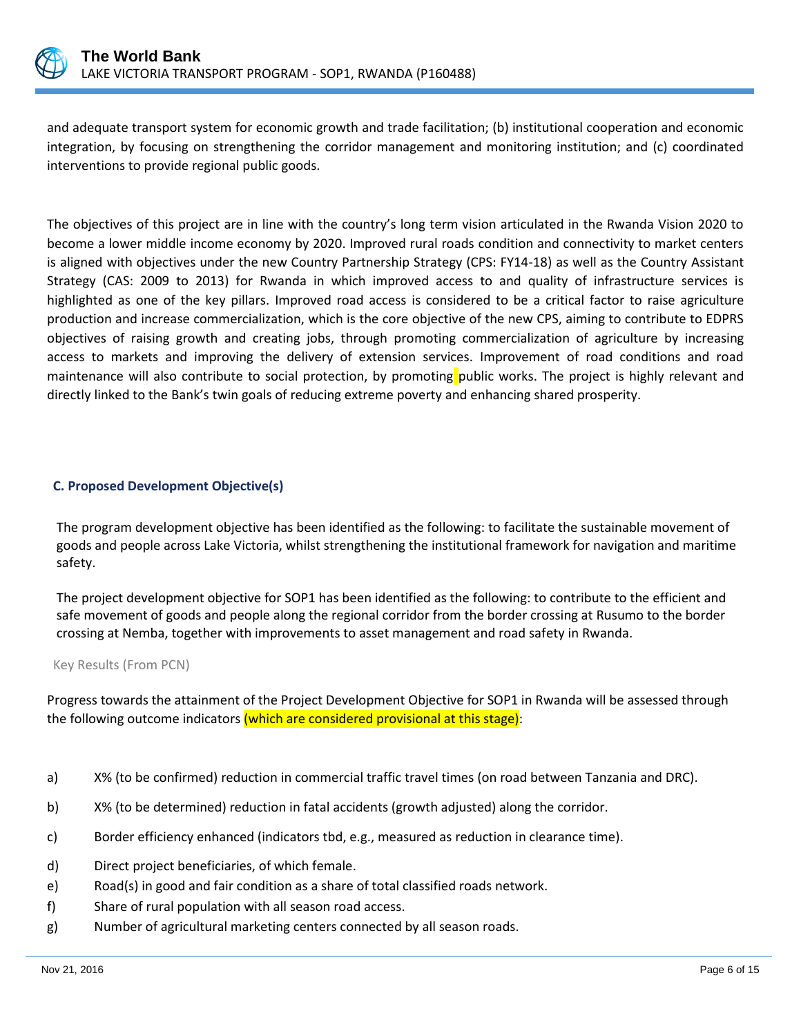

and adequate transport system for economic growth and trade facilitation; (b) institutional cooperation and economic integration, by focusing on strengthening the corridor management and monitoring institution; and (c) coordinated interventions to provide regional public goods.

The objectives of this project are in line with the country's long term vision articulated in the Rwanda Vision 2020 to become a lower middle income economy by 2020. Improved rural roads condition and connectivity to market centers is aligned with objectives under the new Country Partnership Strategy (CPS: FY14-18) as well as the Country Assistant Strategy (CAS: 2009 to 2013) for Rwanda in which improved access to and quality of infrastructure services is highlighted as one of the key pillars. Improved road access is considered to be a critical factor to raise agriculture production and increase commercialization, which is the core objective of the new CPS, aiming to contribute to EDPRS objectives of raising growth and creating jobs, through promoting commercialization of agriculture by increasing access to markets and improving the delivery of extension services. Improvement of road conditions and road maintenance will also contribute to social protection, by promoting public works. The project is highly relevant and directly linked to the Bank's twin goals of reducing extreme poverty and enhancing shared prosperity.

## **C. Proposed Development Objective(s)**

The program development objective has been identified as the following: to facilitate the sustainable movement of goods and people across Lake Victoria, whilst strengthening the institutional framework for navigation and maritime safety.

The project development objective for SOP1 has been identified as the following: to contribute to the efficient and safe movement of goods and people along the regional corridor from the border crossing at Rusumo to the border crossing at Nemba, together with improvements to asset management and road safety in Rwanda.

## Key Results (From PCN)

Progress towards the attainment of the Project Development Objective for SOP1 in Rwanda will be assessed through the following outcome indicators (which are considered provisional at this stage):

- a) X% (to be confirmed) reduction in commercial traffic travel times (on road between Tanzania and DRC).
- b) X% (to be determined) reduction in fatal accidents (growth adjusted) along the corridor.
- c) Border efficiency enhanced (indicators tbd, e.g., measured as reduction in clearance time).
- d) Direct project beneficiaries, of which female.
- e) Road(s) in good and fair condition as a share of total classified roads network.
- f) Share of rural population with all season road access.
- g) Number of agricultural marketing centers connected by all season roads.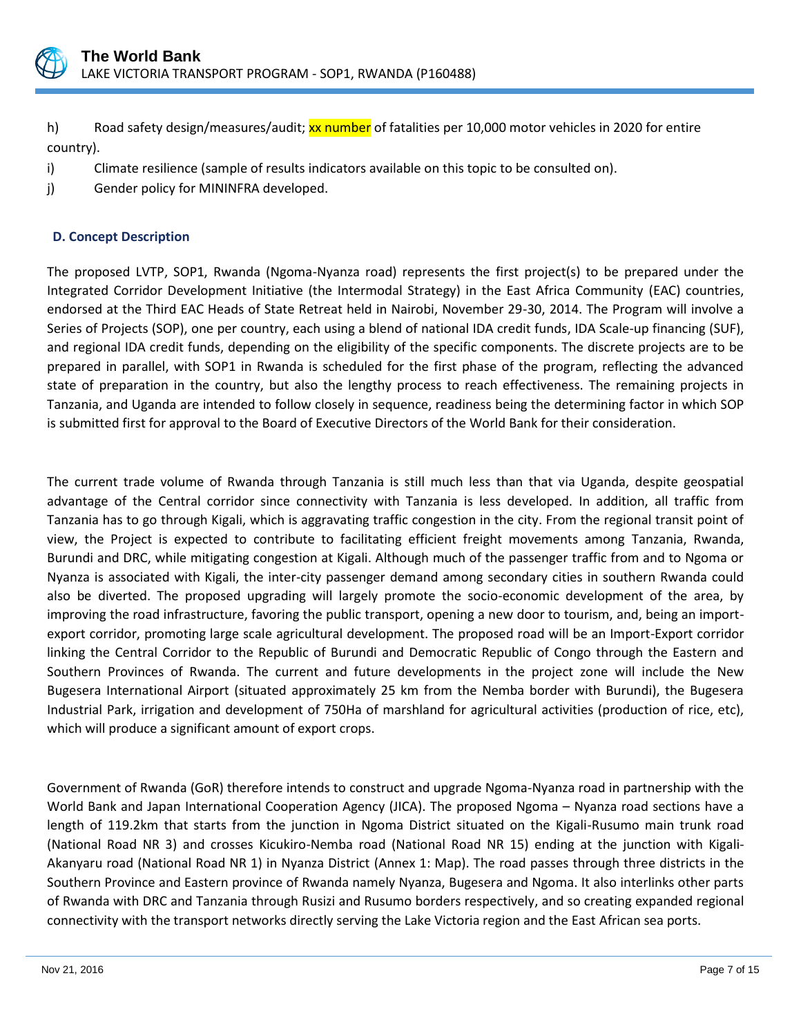

h) Road safety design/measures/audit; xx number of fatalities per 10,000 motor vehicles in 2020 for entire country).

- i) Climate resilience (sample of results indicators available on this topic to be consulted on).
- j) Gender policy for MININFRA developed.

## **D. Concept Description**

The proposed LVTP, SOP1, Rwanda (Ngoma-Nyanza road) represents the first project(s) to be prepared under the Integrated Corridor Development Initiative (the Intermodal Strategy) in the East Africa Community (EAC) countries, endorsed at the Third EAC Heads of State Retreat held in Nairobi, November 29-30, 2014. The Program will involve a Series of Projects (SOP), one per country, each using a blend of national IDA credit funds, IDA Scale-up financing (SUF), and regional IDA credit funds, depending on the eligibility of the specific components. The discrete projects are to be prepared in parallel, with SOP1 in Rwanda is scheduled for the first phase of the program, reflecting the advanced state of preparation in the country, but also the lengthy process to reach effectiveness. The remaining projects in Tanzania, and Uganda are intended to follow closely in sequence, readiness being the determining factor in which SOP is submitted first for approval to the Board of Executive Directors of the World Bank for their consideration.

The current trade volume of Rwanda through Tanzania is still much less than that via Uganda, despite geospatial advantage of the Central corridor since connectivity with Tanzania is less developed. In addition, all traffic from Tanzania has to go through Kigali, which is aggravating traffic congestion in the city. From the regional transit point of view, the Project is expected to contribute to facilitating efficient freight movements among Tanzania, Rwanda, Burundi and DRC, while mitigating congestion at Kigali. Although much of the passenger traffic from and to Ngoma or Nyanza is associated with Kigali, the inter-city passenger demand among secondary cities in southern Rwanda could also be diverted. The proposed upgrading will largely promote the socio-economic development of the area, by improving the road infrastructure, favoring the public transport, opening a new door to tourism, and, being an importexport corridor, promoting large scale agricultural development. The proposed road will be an Import-Export corridor linking the Central Corridor to the Republic of Burundi and Democratic Republic of Congo through the Eastern and Southern Provinces of Rwanda. The current and future developments in the project zone will include the New Bugesera International Airport (situated approximately 25 km from the Nemba border with Burundi), the Bugesera Industrial Park, irrigation and development of 750Ha of marshland for agricultural activities (production of rice, etc), which will produce a significant amount of export crops.

Government of Rwanda (GoR) therefore intends to construct and upgrade Ngoma-Nyanza road in partnership with the World Bank and Japan International Cooperation Agency (JICA). The proposed Ngoma – Nyanza road sections have a length of 119.2km that starts from the junction in Ngoma District situated on the Kigali-Rusumo main trunk road (National Road NR 3) and crosses Kicukiro-Nemba road (National Road NR 15) ending at the junction with Kigali-Akanyaru road (National Road NR 1) in Nyanza District (Annex 1: Map). The road passes through three districts in the Southern Province and Eastern province of Rwanda namely Nyanza, Bugesera and Ngoma. It also interlinks other parts of Rwanda with DRC and Tanzania through Rusizi and Rusumo borders respectively, and so creating expanded regional connectivity with the transport networks directly serving the Lake Victoria region and the East African sea ports.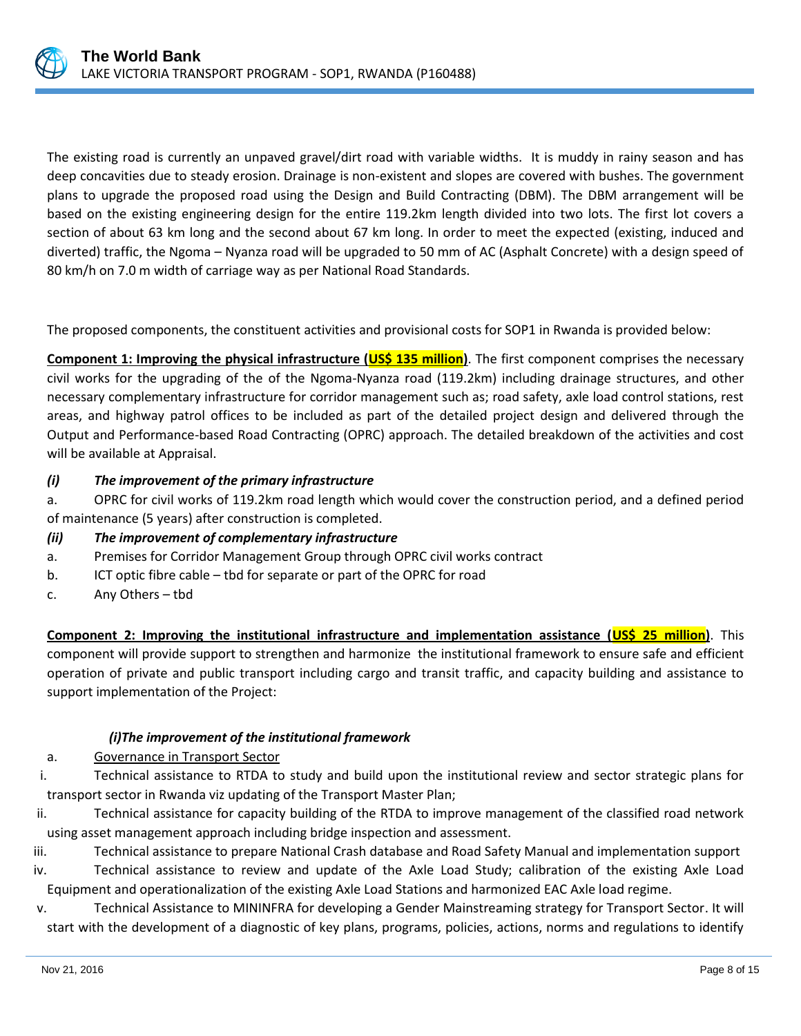

The existing road is currently an unpaved gravel/dirt road with variable widths. It is muddy in rainy season and has deep concavities due to steady erosion. Drainage is non-existent and slopes are covered with bushes. The government plans to upgrade the proposed road using the Design and Build Contracting (DBM). The DBM arrangement will be based on the existing engineering design for the entire 119.2km length divided into two lots. The first lot covers a section of about 63 km long and the second about 67 km long. In order to meet the expected (existing, induced and diverted) traffic, the Ngoma – Nyanza road will be upgraded to 50 mm of AC (Asphalt Concrete) with a design speed of 80 km/h on 7.0 m width of carriage way as per National Road Standards.

The proposed components, the constituent activities and provisional costs for SOP1 in Rwanda is provided below:

**Component 1: Improving the physical infrastructure (US\$ 135 million)**. The first component comprises the necessary civil works for the upgrading of the of the Ngoma-Nyanza road (119.2km) including drainage structures, and other necessary complementary infrastructure for corridor management such as; road safety, axle load control stations, rest areas, and highway patrol offices to be included as part of the detailed project design and delivered through the Output and Performance-based Road Contracting (OPRC) approach. The detailed breakdown of the activities and cost will be available at Appraisal.

## *(i) The improvement of the primary infrastructure*

a. OPRC for civil works of 119.2km road length which would cover the construction period, and a defined period of maintenance (5 years) after construction is completed.

## *(ii) The improvement of complementary infrastructure*

- a. Premises for Corridor Management Group through OPRC civil works contract
- b. ICT optic fibre cable tbd for separate or part of the OPRC for road
- c. Any Others tbd

**Component 2: Improving the institutional infrastructure and implementation assistance (US\$ 25 million)**. This component will provide support to strengthen and harmonize the institutional framework to ensure safe and efficient operation of private and public transport including cargo and transit traffic, and capacity building and assistance to support implementation of the Project:

## *(i)The improvement of the institutional framework*

## a. Governance in Transport Sector

i. Technical assistance to RTDA to study and build upon the institutional review and sector strategic plans for transport sector in Rwanda viz updating of the Transport Master Plan;

ii. Technical assistance for capacity building of the RTDA to improve management of the classified road network using asset management approach including bridge inspection and assessment.

iii. Technical assistance to prepare National Crash database and Road Safety Manual and implementation support iv. Technical assistance to review and update of the Axle Load Study; calibration of the existing Axle Load Equipment and operationalization of the existing Axle Load Stations and harmonized EAC Axle load regime.

v. Technical Assistance to MININFRA for developing a Gender Mainstreaming strategy for Transport Sector. It will start with the development of a diagnostic of key plans, programs, policies, actions, norms and regulations to identify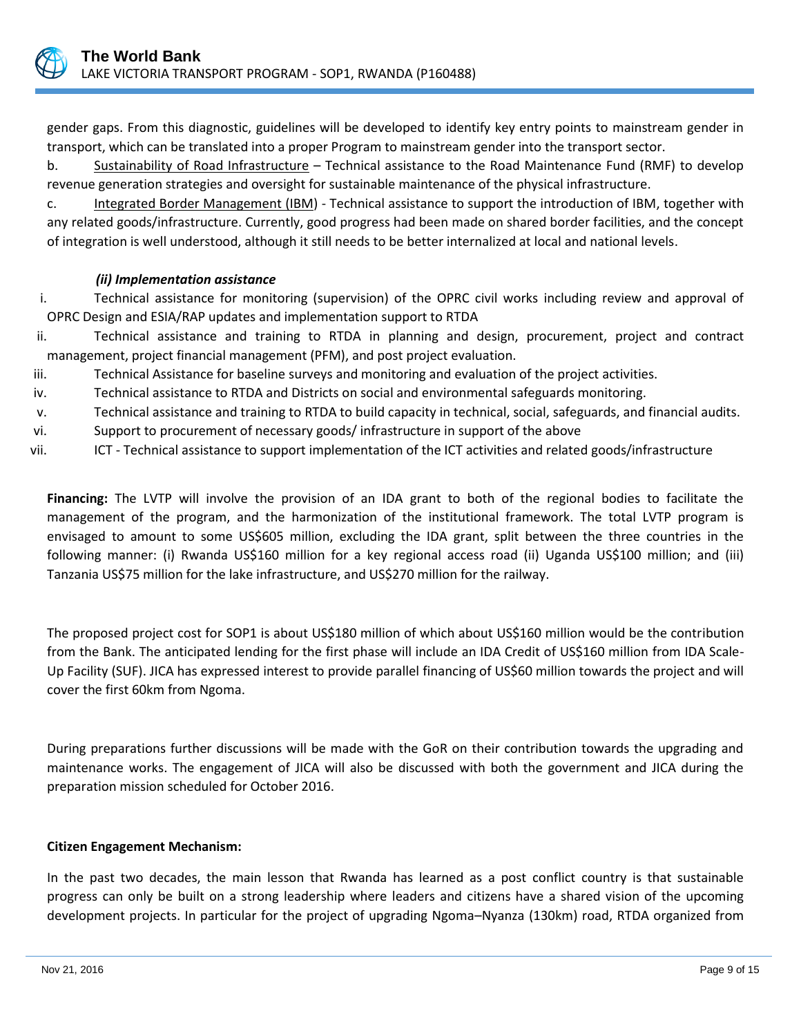

gender gaps. From this diagnostic, guidelines will be developed to identify key entry points to mainstream gender in transport, which can be translated into a proper Program to mainstream gender into the transport sector.

b. Sustainability of Road Infrastructure – Technical assistance to the Road Maintenance Fund (RMF) to develop revenue generation strategies and oversight for sustainable maintenance of the physical infrastructure.

c. Integrated Border Management (IBM) - Technical assistance to support the introduction of IBM, together with any related goods/infrastructure. Currently, good progress had been made on shared border facilities, and the concept of integration is well understood, although it still needs to be better internalized at local and national levels.

## *(ii) Implementation assistance*

i. Technical assistance for monitoring (supervision) of the OPRC civil works including review and approval of OPRC Design and ESIA/RAP updates and implementation support to RTDA

- ii. Technical assistance and training to RTDA in planning and design, procurement, project and contract management, project financial management (PFM), and post project evaluation.
- iii. Technical Assistance for baseline surveys and monitoring and evaluation of the project activities.
- iv. Technical assistance to RTDA and Districts on social and environmental safeguards monitoring.
- v. Technical assistance and training to RTDA to build capacity in technical, social, safeguards, and financial audits.
- vi. Support to procurement of necessary goods/ infrastructure in support of the above
- vii. ICT Technical assistance to support implementation of the ICT activities and related goods/infrastructure

**Financing:** The LVTP will involve the provision of an IDA grant to both of the regional bodies to facilitate the management of the program, and the harmonization of the institutional framework. The total LVTP program is envisaged to amount to some US\$605 million, excluding the IDA grant, split between the three countries in the following manner: (i) Rwanda US\$160 million for a key regional access road (ii) Uganda US\$100 million; and (iii) Tanzania US\$75 million for the lake infrastructure, and US\$270 million for the railway.

The proposed project cost for SOP1 is about US\$180 million of which about US\$160 million would be the contribution from the Bank. The anticipated lending for the first phase will include an IDA Credit of US\$160 million from IDA Scale-Up Facility (SUF). JICA has expressed interest to provide parallel financing of US\$60 million towards the project and will cover the first 60km from Ngoma.

During preparations further discussions will be made with the GoR on their contribution towards the upgrading and maintenance works. The engagement of JICA will also be discussed with both the government and JICA during the preparation mission scheduled for October 2016.

## **Citizen Engagement Mechanism:**

In the past two decades, the main lesson that Rwanda has learned as a post conflict country is that sustainable progress can only be built on a strong leadership where leaders and citizens have a shared vision of the upcoming development projects. In particular for the project of upgrading Ngoma–Nyanza (130km) road, RTDA organized from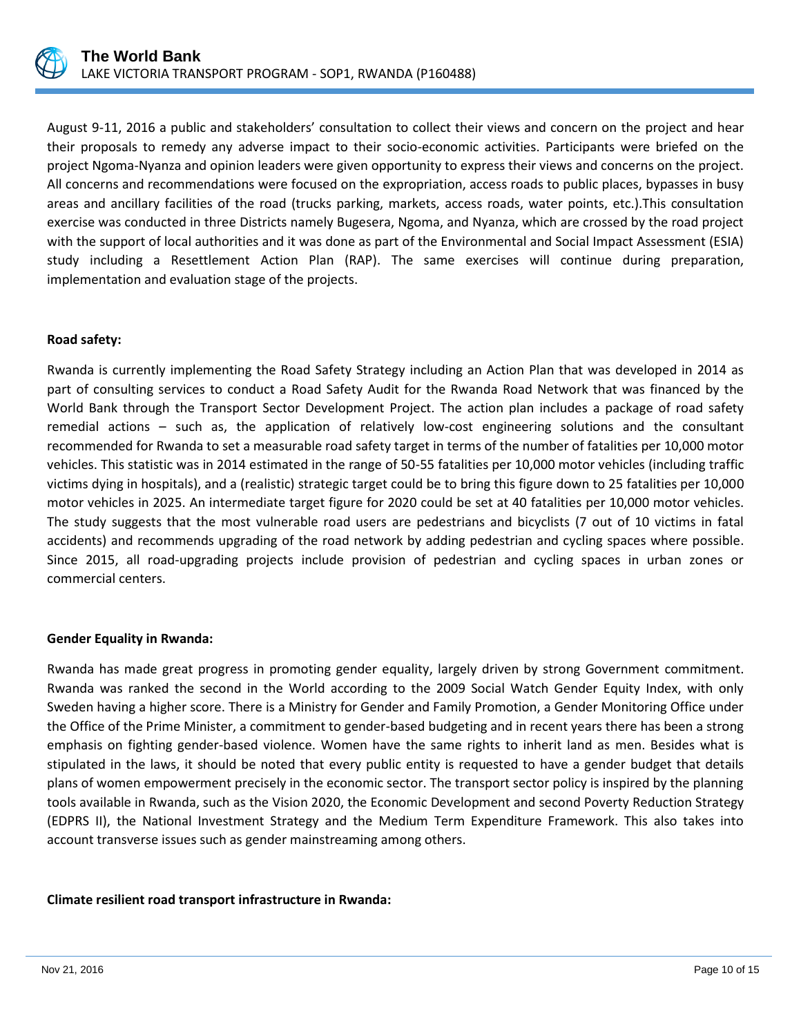

August 9-11, 2016 a public and stakeholders' consultation to collect their views and concern on the project and hear their proposals to remedy any adverse impact to their socio-economic activities. Participants were briefed on the project Ngoma-Nyanza and opinion leaders were given opportunity to express their views and concerns on the project. All concerns and recommendations were focused on the expropriation, access roads to public places, bypasses in busy areas and ancillary facilities of the road (trucks parking, markets, access roads, water points, etc.).This consultation exercise was conducted in three Districts namely Bugesera, Ngoma, and Nyanza, which are crossed by the road project with the support of local authorities and it was done as part of the Environmental and Social Impact Assessment (ESIA) study including a Resettlement Action Plan (RAP). The same exercises will continue during preparation, implementation and evaluation stage of the projects.

## **Road safety:**

Rwanda is currently implementing the Road Safety Strategy including an Action Plan that was developed in 2014 as part of consulting services to conduct a Road Safety Audit for the Rwanda Road Network that was financed by the World Bank through the Transport Sector Development Project. The action plan includes a package of road safety remedial actions – such as, the application of relatively low-cost engineering solutions and the consultant recommended for Rwanda to set a measurable road safety target in terms of the number of fatalities per 10,000 motor vehicles. This statistic was in 2014 estimated in the range of 50-55 fatalities per 10,000 motor vehicles (including traffic victims dying in hospitals), and a (realistic) strategic target could be to bring this figure down to 25 fatalities per 10,000 motor vehicles in 2025. An intermediate target figure for 2020 could be set at 40 fatalities per 10,000 motor vehicles. The study suggests that the most vulnerable road users are pedestrians and bicyclists (7 out of 10 victims in fatal accidents) and recommends upgrading of the road network by adding pedestrian and cycling spaces where possible. Since 2015, all road-upgrading projects include provision of pedestrian and cycling spaces in urban zones or commercial centers.

#### **Gender Equality in Rwanda:**

Rwanda has made great progress in promoting gender equality, largely driven by strong Government commitment. Rwanda was ranked the second in the World according to the 2009 Social Watch Gender Equity Index, with only Sweden having a higher score. There is a Ministry for Gender and Family Promotion, a Gender Monitoring Office under the Office of the Prime Minister, a commitment to gender-based budgeting and in recent years there has been a strong emphasis on fighting gender-based violence. Women have the same rights to inherit land as men. Besides what is stipulated in the laws, it should be noted that every public entity is requested to have a gender budget that details plans of women empowerment precisely in the economic sector. The transport sector policy is inspired by the planning tools available in Rwanda, such as the Vision 2020, the Economic Development and second Poverty Reduction Strategy (EDPRS II), the National Investment Strategy and the Medium Term Expenditure Framework. This also takes into account transverse issues such as gender mainstreaming among others.

#### **Climate resilient road transport infrastructure in Rwanda:**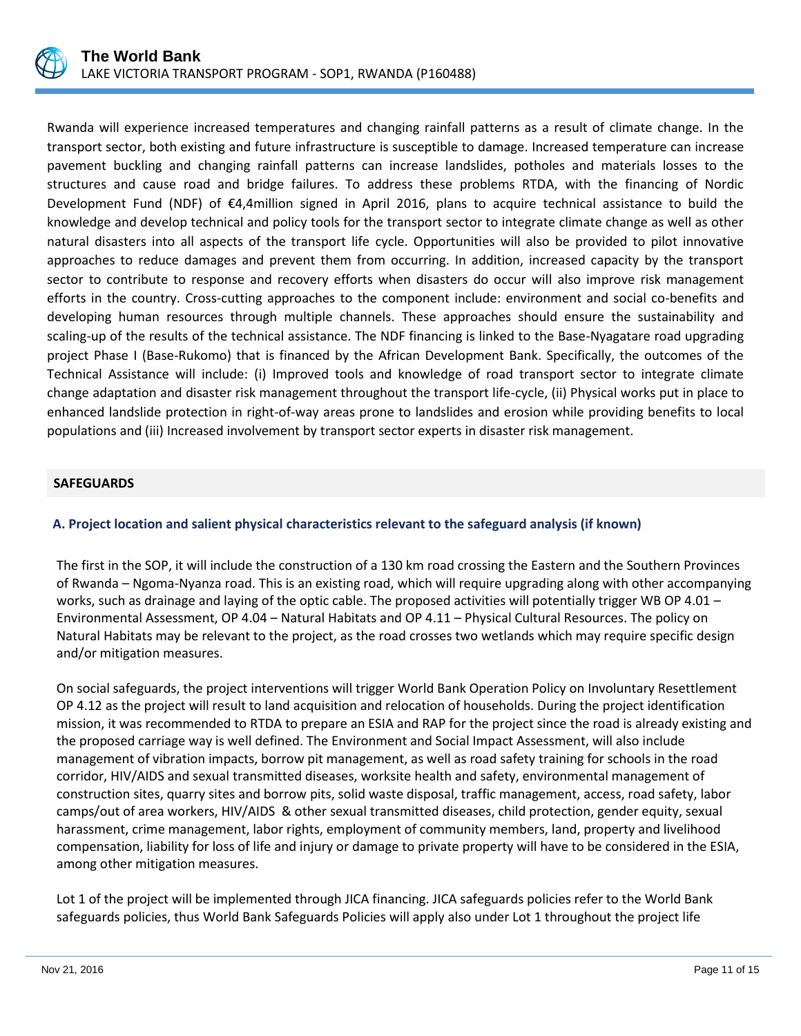

Rwanda will experience increased temperatures and changing rainfall patterns as a result of climate change. In the transport sector, both existing and future infrastructure is susceptible to damage. Increased temperature can increase pavement buckling and changing rainfall patterns can increase landslides, potholes and materials losses to the structures and cause road and bridge failures. To address these problems RTDA, with the financing of Nordic Development Fund (NDF) of €4,4million signed in April 2016, plans to acquire technical assistance to build the knowledge and develop technical and policy tools for the transport sector to integrate climate change as well as other natural disasters into all aspects of the transport life cycle. Opportunities will also be provided to pilot innovative approaches to reduce damages and prevent them from occurring. In addition, increased capacity by the transport sector to contribute to response and recovery efforts when disasters do occur will also improve risk management efforts in the country. Cross-cutting approaches to the component include: environment and social co-benefits and developing human resources through multiple channels. These approaches should ensure the sustainability and scaling-up of the results of the technical assistance. The NDF financing is linked to the Base-Nyagatare road upgrading project Phase I (Base-Rukomo) that is financed by the African Development Bank. Specifically, the outcomes of the Technical Assistance will include: (i) Improved tools and knowledge of road transport sector to integrate climate change adaptation and disaster risk management throughout the transport life-cycle, (ii) Physical works put in place to enhanced landslide protection in right-of-way areas prone to landslides and erosion while providing benefits to local populations and (iii) Increased involvement by transport sector experts in disaster risk management.

## **SAFEGUARDS**

## **A. Project location and salient physical characteristics relevant to the safeguard analysis (if known)**

The first in the SOP, it will include the construction of a 130 km road crossing the Eastern and the Southern Provinces of Rwanda – Ngoma-Nyanza road. This is an existing road, which will require upgrading along with other accompanying works, such as drainage and laying of the optic cable. The proposed activities will potentially trigger WB OP 4.01 – Environmental Assessment, OP 4.04 – Natural Habitats and OP 4.11 – Physical Cultural Resources. The policy on Natural Habitats may be relevant to the project, as the road crosses two wetlands which may require specific design and/or mitigation measures.

On social safeguards, the project interventions will trigger World Bank Operation Policy on Involuntary Resettlement OP 4.12 as the project will result to land acquisition and relocation of households. During the project identification mission, it was recommended to RTDA to prepare an ESIA and RAP for the project since the road is already existing and the proposed carriage way is well defined. The Environment and Social Impact Assessment, will also include management of vibration impacts, borrow pit management, as well as road safety training for schools in the road corridor, HIV/AIDS and sexual transmitted diseases, worksite health and safety, environmental management of construction sites, quarry sites and borrow pits, solid waste disposal, traffic management, access, road safety, labor camps/out of area workers, HIV/AIDS & other sexual transmitted diseases, child protection, gender equity, sexual harassment, crime management, labor rights, employment of community members, land, property and livelihood compensation, liability for loss of life and injury or damage to private property will have to be considered in the ESIA, among other mitigation measures.

Lot 1 of the project will be implemented through JICA financing. JICA safeguards policies refer to the World Bank safeguards policies, thus World Bank Safeguards Policies will apply also under Lot 1 throughout the project life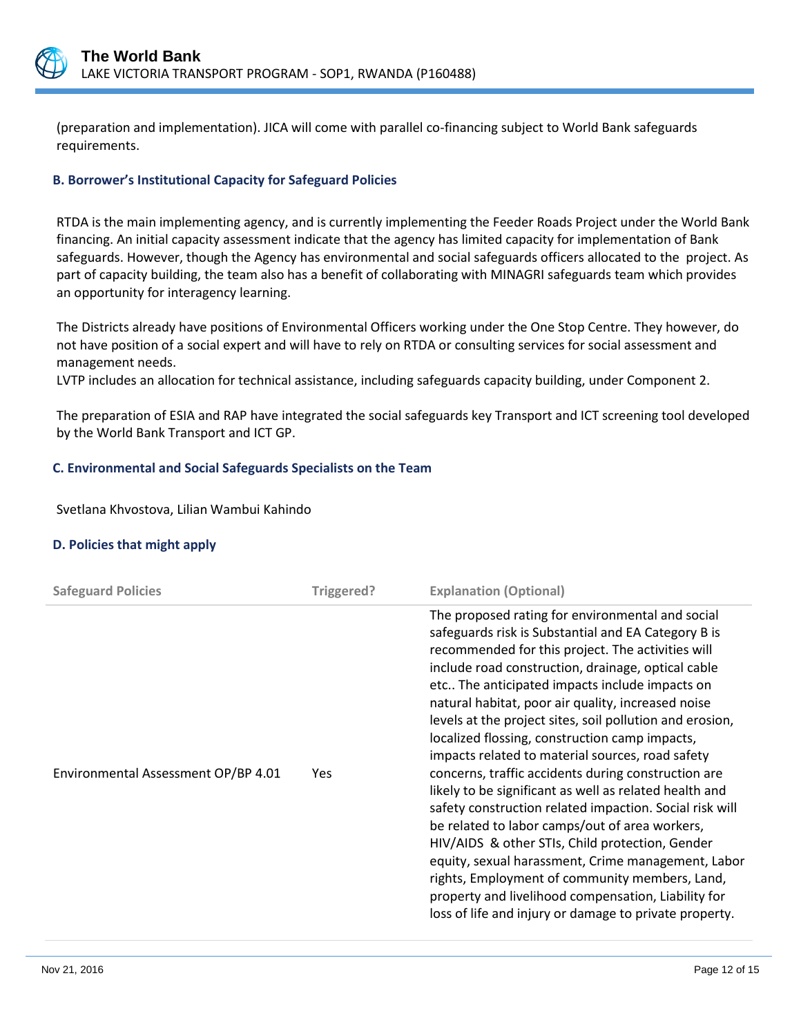

(preparation and implementation). JICA will come with parallel co-financing subject to World Bank safeguards requirements.

## **B. Borrower's Institutional Capacity for Safeguard Policies**

RTDA is the main implementing agency, and is currently implementing the Feeder Roads Project under the World Bank financing. An initial capacity assessment indicate that the agency has limited capacity for implementation of Bank safeguards. However, though the Agency has environmental and social safeguards officers allocated to the project. As part of capacity building, the team also has a benefit of collaborating with MINAGRI safeguards team which provides an opportunity for interagency learning.

The Districts already have positions of Environmental Officers working under the One Stop Centre. They however, do not have position of a social expert and will have to rely on RTDA or consulting services for social assessment and management needs.

LVTP includes an allocation for technical assistance, including safeguards capacity building, under Component 2.

The preparation of ESIA and RAP have integrated the social safeguards key Transport and ICT screening tool developed by the World Bank Transport and ICT GP.

## **C. Environmental and Social Safeguards Specialists on the Team**

Svetlana Khvostova, Lilian Wambui Kahindo

## **D. Policies that might apply**

| <b>Safeguard Policies</b>           | Triggered? | <b>Explanation (Optional)</b>                                                                                                                                                                                                                                                                                                                                                                                                                                                                                                                                                                                                                                                                                                                                                                                                                                                                                                                                                                          |
|-------------------------------------|------------|--------------------------------------------------------------------------------------------------------------------------------------------------------------------------------------------------------------------------------------------------------------------------------------------------------------------------------------------------------------------------------------------------------------------------------------------------------------------------------------------------------------------------------------------------------------------------------------------------------------------------------------------------------------------------------------------------------------------------------------------------------------------------------------------------------------------------------------------------------------------------------------------------------------------------------------------------------------------------------------------------------|
| Environmental Assessment OP/BP 4.01 | <b>Yes</b> | The proposed rating for environmental and social<br>safeguards risk is Substantial and EA Category B is<br>recommended for this project. The activities will<br>include road construction, drainage, optical cable<br>etc The anticipated impacts include impacts on<br>natural habitat, poor air quality, increased noise<br>levels at the project sites, soil pollution and erosion,<br>localized flossing, construction camp impacts,<br>impacts related to material sources, road safety<br>concerns, traffic accidents during construction are<br>likely to be significant as well as related health and<br>safety construction related impaction. Social risk will<br>be related to labor camps/out of area workers,<br>HIV/AIDS & other STIs, Child protection, Gender<br>equity, sexual harassment, Crime management, Labor<br>rights, Employment of community members, Land,<br>property and livelihood compensation, Liability for<br>loss of life and injury or damage to private property. |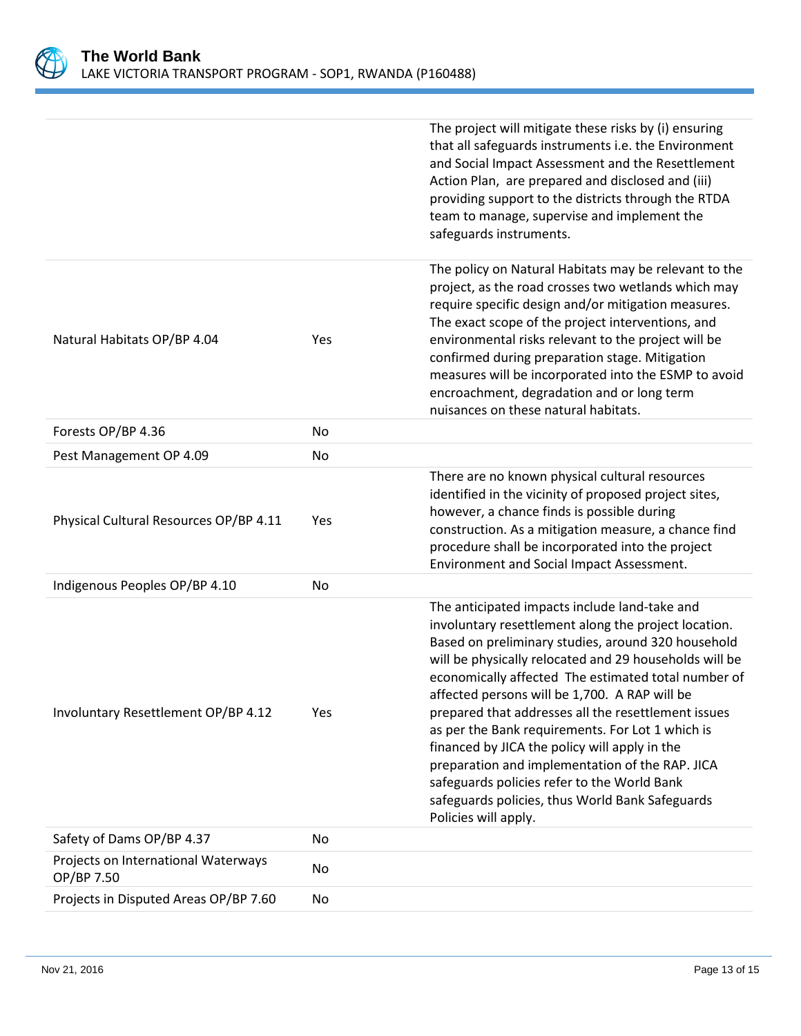

|                                                   |     | The project will mitigate these risks by (i) ensuring<br>that all safeguards instruments i.e. the Environment                                                                                                                                                                                                                                                                                                                                                                                                                                                                                                                                                          |
|---------------------------------------------------|-----|------------------------------------------------------------------------------------------------------------------------------------------------------------------------------------------------------------------------------------------------------------------------------------------------------------------------------------------------------------------------------------------------------------------------------------------------------------------------------------------------------------------------------------------------------------------------------------------------------------------------------------------------------------------------|
|                                                   |     | and Social Impact Assessment and the Resettlement<br>Action Plan, are prepared and disclosed and (iii)<br>providing support to the districts through the RTDA<br>team to manage, supervise and implement the<br>safeguards instruments.                                                                                                                                                                                                                                                                                                                                                                                                                                |
| Natural Habitats OP/BP 4.04                       | Yes | The policy on Natural Habitats may be relevant to the<br>project, as the road crosses two wetlands which may<br>require specific design and/or mitigation measures.<br>The exact scope of the project interventions, and<br>environmental risks relevant to the project will be<br>confirmed during preparation stage. Mitigation<br>measures will be incorporated into the ESMP to avoid<br>encroachment, degradation and or long term<br>nuisances on these natural habitats.                                                                                                                                                                                        |
| Forests OP/BP 4.36                                | No  |                                                                                                                                                                                                                                                                                                                                                                                                                                                                                                                                                                                                                                                                        |
| Pest Management OP 4.09                           | No  |                                                                                                                                                                                                                                                                                                                                                                                                                                                                                                                                                                                                                                                                        |
| Physical Cultural Resources OP/BP 4.11            | Yes | There are no known physical cultural resources<br>identified in the vicinity of proposed project sites,<br>however, a chance finds is possible during<br>construction. As a mitigation measure, a chance find<br>procedure shall be incorporated into the project<br>Environment and Social Impact Assessment.                                                                                                                                                                                                                                                                                                                                                         |
| Indigenous Peoples OP/BP 4.10                     | No  |                                                                                                                                                                                                                                                                                                                                                                                                                                                                                                                                                                                                                                                                        |
| Involuntary Resettlement OP/BP 4.12               | Yes | The anticipated impacts include land-take and<br>involuntary resettlement along the project location.<br>Based on preliminary studies, around 320 household<br>will be physically relocated and 29 households will be<br>economically affected The estimated total number of<br>affected persons will be 1,700. A RAP will be<br>prepared that addresses all the resettlement issues<br>as per the Bank requirements. For Lot 1 which is<br>financed by JICA the policy will apply in the<br>preparation and implementation of the RAP. JICA<br>safeguards policies refer to the World Bank<br>safeguards policies, thus World Bank Safeguards<br>Policies will apply. |
| Safety of Dams OP/BP 4.37                         | No  |                                                                                                                                                                                                                                                                                                                                                                                                                                                                                                                                                                                                                                                                        |
| Projects on International Waterways<br>OP/BP 7.50 | No  |                                                                                                                                                                                                                                                                                                                                                                                                                                                                                                                                                                                                                                                                        |
| Projects in Disputed Areas OP/BP 7.60             | No  |                                                                                                                                                                                                                                                                                                                                                                                                                                                                                                                                                                                                                                                                        |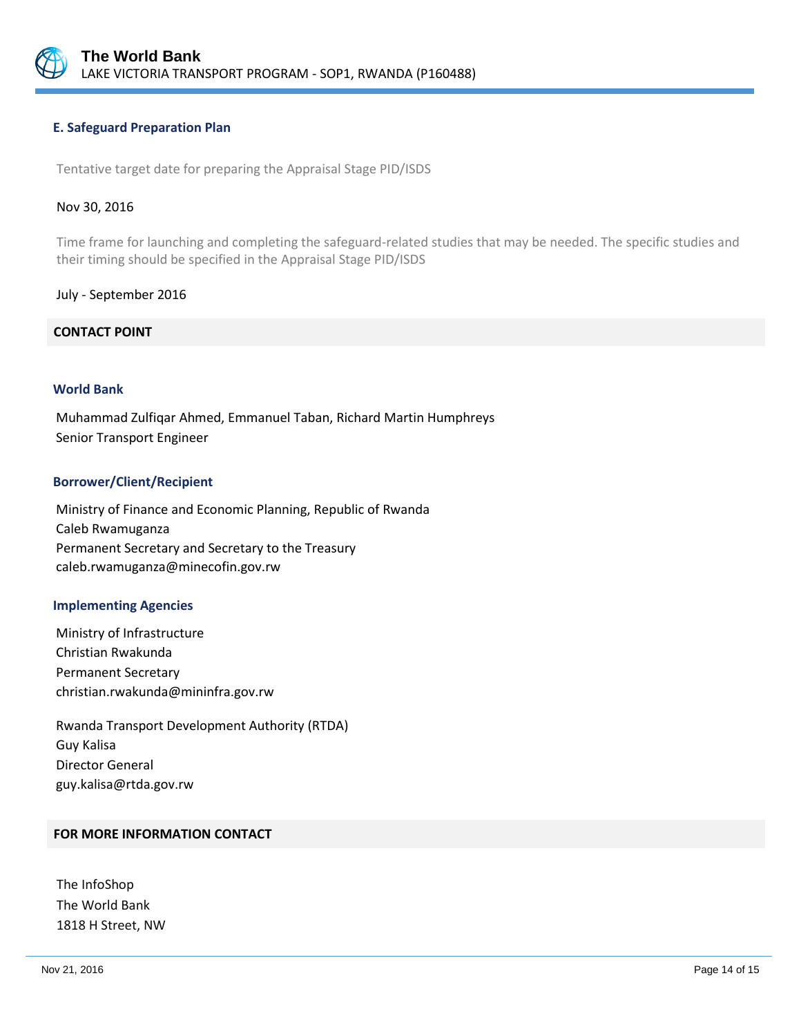

## **E. Safeguard Preparation Plan**

Tentative target date for preparing the Appraisal Stage PID/ISDS

#### Nov 30, 2016

Time frame for launching and completing the safeguard-related studies that may be needed. The specific studies and their timing should be specified in the Appraisal Stage PID/ISDS

#### July - September 2016

## **CONTACT POINT**

#### **World Bank**

Muhammad Zulfiqar Ahmed, Emmanuel Taban, Richard Martin Humphreys Senior Transport Engineer

#### **Borrower/Client/Recipient**

Ministry of Finance and Economic Planning, Republic of Rwanda Caleb Rwamuganza Permanent Secretary and Secretary to the Treasury caleb.rwamuganza@minecofin.gov.rw

#### **Implementing Agencies**

Ministry of Infrastructure Christian Rwakunda Permanent Secretary christian.rwakunda@mininfra.gov.rw

Rwanda Transport Development Authority (RTDA) Guy Kalisa Director General guy.kalisa@rtda.gov.rw

## **FOR MORE INFORMATION CONTACT**

The InfoShop The World Bank 1818 H Street, NW